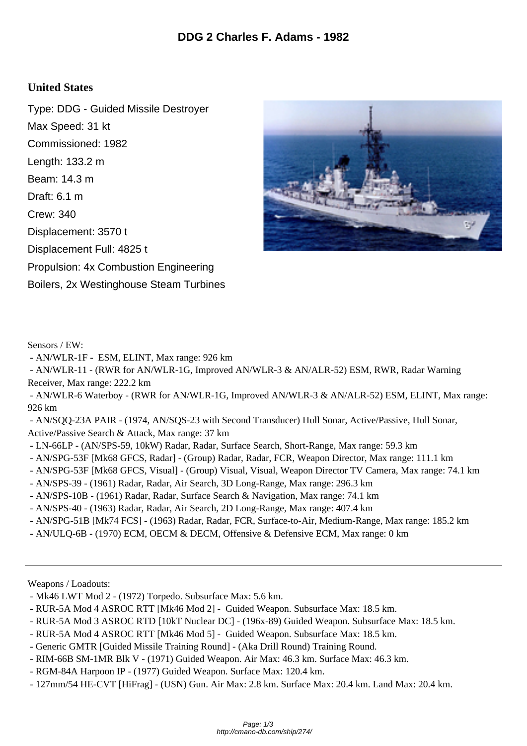## **United States**

Type: DDG - Guided Missile Destroyer Max Speed: 31 kt Commissioned: 1982 Length: 133.2 m Beam: 14.3 m Draft: 6.1 m Crew: 340 Displacement: 3570 t Displacement Full: 4825 t Propulsion: 4x Combustion Engineering Boilers, 2x Westinghouse Steam Turbines



Sensors / EW:

- AN/WLR-1F - ESM, ELINT, Max range: 926 km

 - AN/WLR-11 - (RWR for AN/WLR-1G, Improved AN/WLR-3 & AN/ALR-52) ESM, RWR, Radar Warning Receiver, Max range: 222.2 km

 - AN/WLR-6 Waterboy - (RWR for AN/WLR-1G, Improved AN/WLR-3 & AN/ALR-52) ESM, ELINT, Max range: 926 km

 - AN/SQQ-23A PAIR - (1974, AN/SQS-23 with Second Transducer) Hull Sonar, Active/Passive, Hull Sonar, Active/Passive Search & Attack, Max range: 37 km

- LN-66LP (AN/SPS-59, 10kW) Radar, Radar, Surface Search, Short-Range, Max range: 59.3 km
- AN/SPG-53F [Mk68 GFCS, Radar] (Group) Radar, Radar, FCR, Weapon Director, Max range: 111.1 km
- AN/SPG-53F [Mk68 GFCS, Visual] (Group) Visual, Visual, Weapon Director TV Camera, Max range: 74.1 km
- AN/SPS-39 (1961) Radar, Radar, Air Search, 3D Long-Range, Max range: 296.3 km
- AN/SPS-10B (1961) Radar, Radar, Surface Search & Navigation, Max range: 74.1 km
- AN/SPS-40 (1963) Radar, Radar, Air Search, 2D Long-Range, Max range: 407.4 km
- AN/SPG-51B [Mk74 FCS] (1963) Radar, Radar, FCR, Surface-to-Air, Medium-Range, Max range: 185.2 km
- AN/ULQ-6B (1970) ECM, OECM & DECM, Offensive & Defensive ECM, Max range: 0 km

Weapons / Loadouts:

- Mk46 LWT Mod 2 (1972) Torpedo. Subsurface Max: 5.6 km.
- RUR-5A Mod 4 ASROC RTT [Mk46 Mod 2] Guided Weapon. Subsurface Max: 18.5 km.
- RUR-5A Mod 3 ASROC RTD [10kT Nuclear DC] (196x-89) Guided Weapon. Subsurface Max: 18.5 km.
- RUR-5A Mod 4 ASROC RTT [Mk46 Mod 5] Guided Weapon. Subsurface Max: 18.5 km.
- Generic GMTR [Guided Missile Training Round] (Aka Drill Round) Training Round.
- RIM-66B SM-1MR Blk V (1971) Guided Weapon. Air Max: 46.3 km. Surface Max: 46.3 km.
- RGM-84A Harpoon IP (1977) Guided Weapon. Surface Max: 120.4 km.
- 127mm/54 HE-CVT [HiFrag] (USN) Gun. Air Max: 2.8 km. Surface Max: 20.4 km. Land Max: 20.4 km.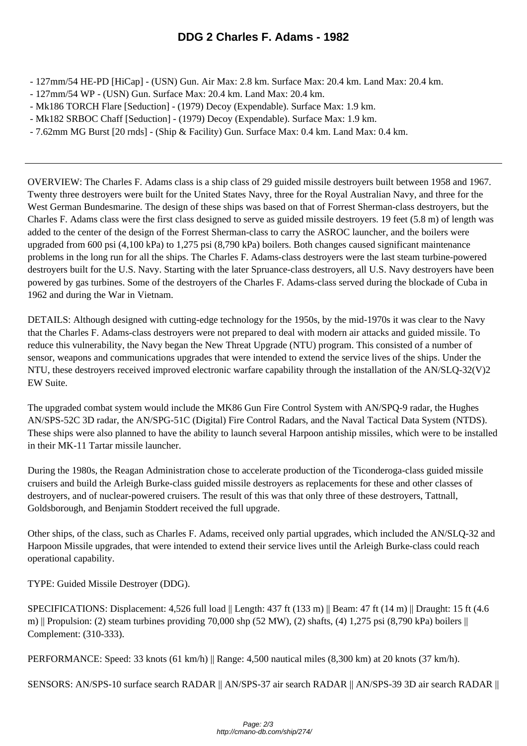- 127mm/54 HE-PD [HiCap] (USN) [Gun. Air Max: 2.8 km. Surface Max: 20.4 k](http://cmano-db.com/ship/274/)m. Land Max: 20.4 km.
- 127mm/54 WP (USN) Gun. Surface Max: 20.4 km. Land Max: 20.4 km.
- Mk186 TORCH Flare [Seduction] (1979) Decoy (Expendable). Surface Max: 1.9 km.
- Mk182 SRBOC Chaff [Seduction] (1979) Decoy (Expendable). Surface Max: 1.9 km.
- 7.62mm MG Burst [20 rnds] (Ship & Facility) Gun. Surface Max: 0.4 km. Land Max: 0.4 km.

OVERVIEW: The Charles F. Adams class is a ship class of 29 guided missile destroyers built between 1958 and 1967. Twenty three destroyers were built for the United States Navy, three for the Royal Australian Navy, and three for the West German Bundesmarine. The design of these ships was based on that of Forrest Sherman-class destroyers, but the Charles F. Adams class were the first class designed to serve as guided missile destroyers. 19 feet (5.8 m) of length was added to the center of the design of the Forrest Sherman-class to carry the ASROC launcher, and the boilers were upgraded from 600 psi (4,100 kPa) to 1,275 psi (8,790 kPa) boilers. Both changes caused significant maintenance problems in the long run for all the ships. The Charles F. Adams-class destroyers were the last steam turbine-powered destroyers built for the U.S. Navy. Starting with the later Spruance-class destroyers, all U.S. Navy destroyers have been powered by gas turbines. Some of the destroyers of the Charles F. Adams-class served during the blockade of Cuba in 1962 and during the War in Vietnam.

DETAILS: Although designed with cutting-edge technology for the 1950s, by the mid-1970s it was clear to the Navy that the Charles F. Adams-class destroyers were not prepared to deal with modern air attacks and guided missile. To reduce this vulnerability, the Navy began the New Threat Upgrade (NTU) program. This consisted of a number of sensor, weapons and communications upgrades that were intended to extend the service lives of the ships. Under the NTU, these destroyers received improved electronic warfare capability through the installation of the AN/SLQ-32(V)2 EW Suite.

The upgraded combat system would include the MK86 Gun Fire Control System with AN/SPQ-9 radar, the Hughes AN/SPS-52C 3D radar, the AN/SPG-51C (Digital) Fire Control Radars, and the Naval Tactical Data System (NTDS). These ships were also planned to have the ability to launch several Harpoon antiship missiles, which were to be installed in their MK-11 Tartar missile launcher.

During the 1980s, the Reagan Administration chose to accelerate production of the Ticonderoga-class guided missile cruisers and build the Arleigh Burke-class guided missile destroyers as replacements for these and other classes of destroyers, and of nuclear-powered cruisers. The result of this was that only three of these destroyers, Tattnall, Goldsborough, and Benjamin Stoddert received the full upgrade.

Other ships, of the class, such as Charles F. Adams, received only partial upgrades, which included the AN/SLQ-32 and Harpoon Missile upgrades, that were intended to extend their service lives until the Arleigh Burke-class could reach operational capability.

TYPE: Guided Missile Destroyer (DDG).

SPECIFICATIONS: Displacement: 4,526 full load || Length: 437 ft (133 m) || Beam: 47 ft (14 m) || Draught: 15 ft (4.6 m) || Propulsion: (2) steam turbines providing 70,000 shp (52 MW), (2) shafts, (4) 1,275 psi (8,790 kPa) boilers  $\parallel$ Complement: (310-333).

PERFORMANCE: Speed: 33 knots (61 km/h) || Range: 4,500 nautical miles (8,300 km) at 20 knots (37 km/h).

SENSORS: AN/SPS-10 surface search RADAR || AN/SPS-37 air search RADAR || AN/SPS-39 3D air search RADAR ||